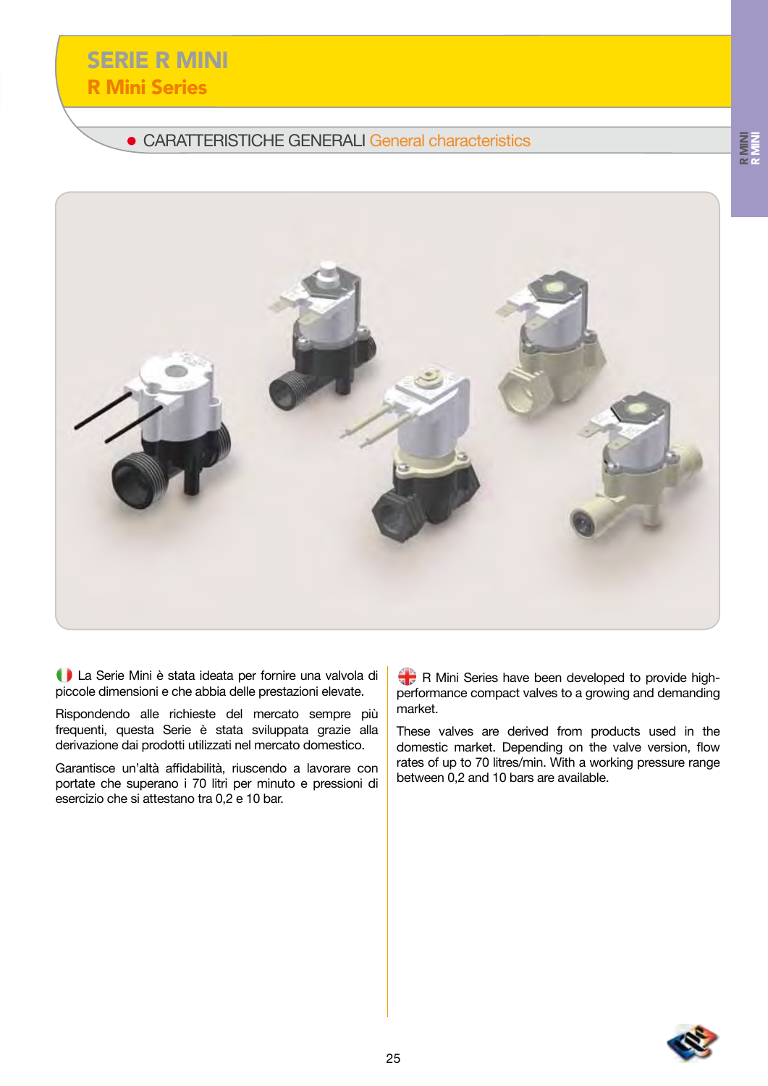# CARATTERISTICHE GENERALI General characteristics



La Serie Mini è stata ideata per fornire una valvola di piccole dimensioni e che abbia delle prestazioni elevate.

Rispondendo alle richieste del mercato sempre più frequenti, questa Serie è stata sviluppata grazie alla derivazione dai prodotti utilizzati nel mercato domestico.

Garantisce un'altà affidabilità, riuscendo a lavorare con portate che superano i 70 litri per minuto e pressioni di esercizio che si attestano tra 0,2 e 10 bar.

 $\mathbb{C}$  R Mini Series have been developed to provide highperformance compact valves to a growing and demanding market.

These valves are derived from products used in the domestic market. Depending on the valve version, flow rates of up to 70 litres/min. With a working pressure range between 0,2 and 10 bars are available.



R MINI<br>R<br>R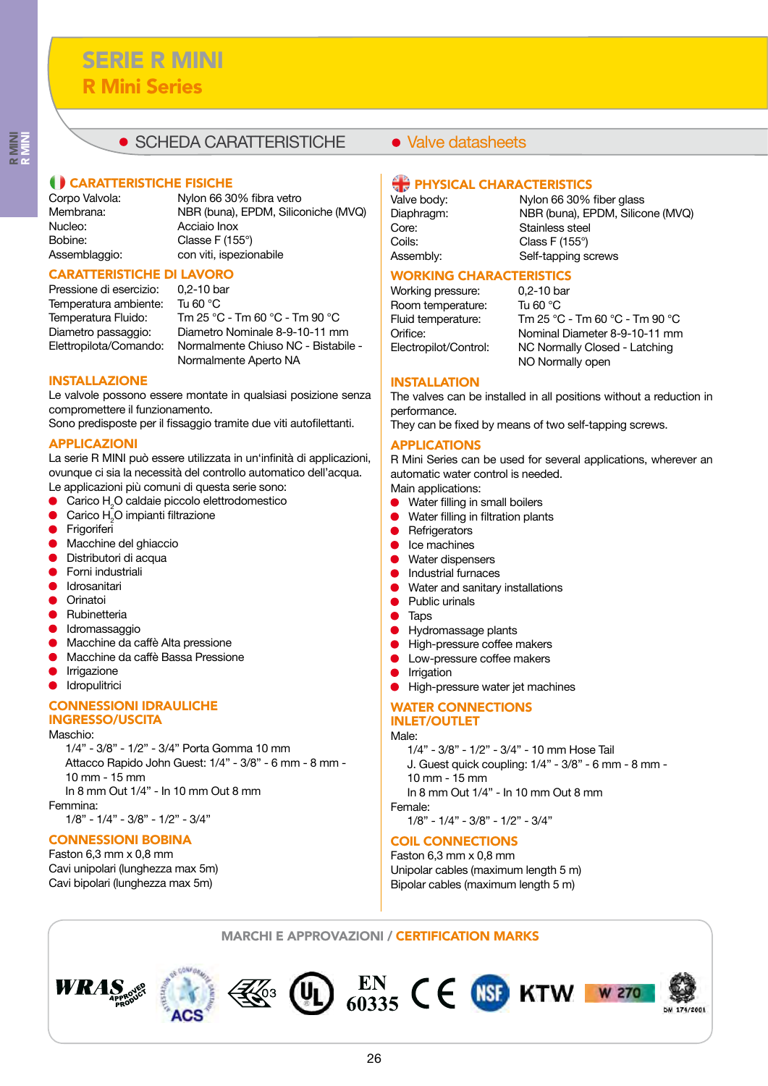### • SCHEDA CARATTERISTICHE • Valve datasheets

#### CARATTERISTICHE FISICHE

Nucleo: Acciaio Inox Bobine: Classe F (155°)<br>Assemblaggio: con viti, ispezio

Corpo Valvola: Nylon 66 30% fibra vetro Membrana: NBR (buna), EPDM, Siliconiche (MVQ) con viti, ispezionabile

#### CARATTERISTICHE DI LAVORO

Pressione di esercizio: 0,2-10 bar Temperatura ambiente: Tu 60 °C

Temperatura Fluido: Tm 25 °C - Tm 60 °C - Tm 90 °C Diametro passaggio: Diametro Nominale 8-9-10-11 mm Elettropilota/Comando: Normalmente Chiuso NC - Bistabile - Normalmente Aperto NA

#### INSTALLAZIONE

Le valvole possono essere montate in qualsiasi posizione senza compromettere il funzionamento.

Sono predisposte per il fissaggio tramite due viti autofilettanti.

#### APPLICAZIONI

La serie R MINI può essere utilizzata in un'infinità di applicazioni, ovunque ci sia la necessità del controllo automatico dell'acqua. Le applicazioni più comuni di questa serie sono:

- Carico H<sub>2</sub>O caldaie piccolo elettrodomestico
- Carico  $H<sub>2</sub>O$  impianti filtrazione
- **Frigoriferi**
- Macchine del ghiaccio
- Distributori di acqua
- Forni industriali
- Idrosanitari
- Orinatoi
- **Rubinetteria**
- Idromassaggio
- Macchine da caffè Alta pressione
- Macchine da caffè Bassa Pressione
- Irrigazione
- Idropulitrici  $\bullet$

# CONNESSIONI IDRAULICHE

### INGRESSO/USCITA

Maschio:

1/4" - 3/8" - 1/2" - 3/4" Porta Gomma 10 mm

Attacco Rapido John Guest: 1/4" - 3/8" - 6 mm - 8 mm - 10 mm - 15 mm

In 8 mm Out 1/4" - In 10 mm Out 8 mm

Femmina:

1/8" - 1/4" - 3/8" - 1/2" - 3/4"

### CONNESSIONI BOBINA

Faston 6,3 mm x 0,8 mm Cavi unipolari (lunghezza max 5m) Cavi bipolari (lunghezza max 5m)

# **PHYSICAL CHARACTERISTICS**

| /alve body: |  |
|-------------|--|
| Diaphragm:  |  |
| Core:       |  |
| Coils:      |  |
| Assembly:   |  |

Nylon 66 30% fiber glass Diaphragm: NBR (buna), EPDM, Silicone (MVQ) Core: Stainless steel Coils: Class F (155°) Assembly: Self-tapping screws

# **WORKING CHARACTERISTICS**<br>Working pressure: 0.2-10 bar

Working pressure: Room temperature: Tu 60 °C<br>Fluid temperature: Tm 25 °C

Tm 25 °C - Tm 60 °C - Tm 90 °C Orifice: Nominal Diameter 8-9-10-11 mm Electropilot/Control: NC Normally Closed - Latching NO Normally open

#### INSTALLATION

The valves can be installed in all positions without a reduction in performance.

They can be fixed by means of two self-tapping screws.

#### APPLICATIONS

R Mini Series can be used for several applications, wherever an automatic water control is needed.

Main applications:

- $\bullet$ Water filling in small boilers
- Water filling in filtration plants  $\bullet$
- $\bullet$ **Refrigerators**  $\bullet$
- Ice machines  $\bullet$ Water dispensers
- ă Industrial furnaces
- Water and sanitary installations
- ä Public urinals
- **Taps** ă
- Hydromassage plants ă
- High-pressure coffee makers
- Low-pressure coffee makers
- Irrigation
- **High-pressure water jet machines**

#### WATER CONNECTIONS INLET/OUTLET

#### Male:

- 1/4" 3/8" 1/2" 3/4" 10 mm Hose Tail
- J. Guest quick coupling: 1/4" 3/8" 6 mm 8 mm 10 mm - 15 mm

In 8 mm Out 1/4" - In 10 mm Out 8 mm

Female:

1/8" - 1/4" - 3/8" - 1/2" - 3/4"

### COIL CONNECTIONS

Faston 6,3 mm x 0,8 mm Unipolar cables (maximum length 5 m) Bipolar cables (maximum length 5 m)

#### MARCHI E APPROVAZIONI / CERTIFICATION MARKS











**W 270**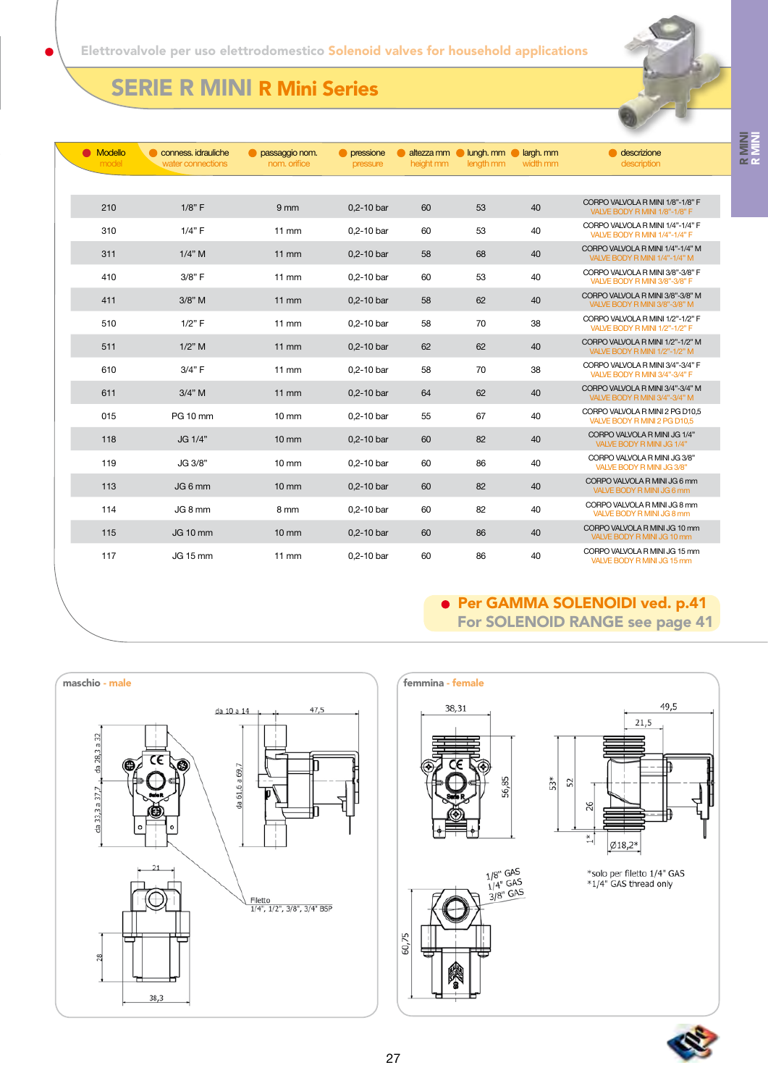

R MINI<br>R<br>R

# SERIE R MINI R Mini Series

| <b>Modello</b><br>model | conness. idrauliche<br>water connections | passaggio nom.<br>nom. orifice | pressione<br>pressure | $\alpha$ altezza mm<br>height mm | $l$ ungh. mm<br>length mm | largh. mm<br>width mm | descrizione<br>description                                        |
|-------------------------|------------------------------------------|--------------------------------|-----------------------|----------------------------------|---------------------------|-----------------------|-------------------------------------------------------------------|
|                         |                                          |                                |                       |                                  |                           |                       |                                                                   |
| 210                     | 1/8" F                                   | 9 <sub>mm</sub>                | $0.2 - 10$ bar        | 60                               | 53                        | 40                    | CORPO VALVOLA R MINI 1/8"-1/8" F<br>VALVE BODY R MINI 1/8"-1/8" F |
| 310                     | 1/4"F                                    | $11$ mm                        | 0,2-10 bar            | 60                               | 53                        | 40                    | CORPO VALVOLA R MINI 1/4"-1/4" F<br>VALVE BODY R MINI 1/4"-1/4" F |
| 311                     | 1/4" M                                   | $11$ mm                        | 0,2-10 bar            | 58                               | 68                        | 40                    | CORPO VALVOLA R MINI 1/4"-1/4" M<br>VALVE BODY R MINI 1/4"-1/4" M |
| 410                     | 3/8" F                                   | $11$ mm                        | 0.2-10 bar            | 60                               | 53                        | 40                    | CORPO VALVOLA R MINI 3/8"-3/8" F<br>VALVE BODY R MINI 3/8"-3/8" F |
| 411                     | $3/8"$ M                                 | $11$ mm                        | $0,2 - 10$ bar        | 58                               | 62                        | 40                    | CORPO VALVOLA R MINI 3/8"-3/8" M<br>VALVE BODY R MINI 3/8"-3/8" M |
| 510                     | 1/2" F                                   | $11$ mm                        | 0.2-10 bar            | 58                               | 70                        | 38                    | CORPO VALVOLA R MINI 1/2"-1/2" F<br>VALVE BODY R MINI 1/2"-1/2" F |
| 511                     | 1/2" M                                   | $11$ mm                        | $0.2 - 10$ bar        | 62                               | 62                        | 40                    | CORPO VALVOLA R MINI 1/2"-1/2" M<br>VALVE BODY R MINI 1/2"-1/2" M |
| 610                     | 3/4"F                                    | $11$ mm                        | 0,2-10 bar            | 58                               | 70                        | 38                    | CORPO VALVOLA R MINI 3/4"-3/4" F<br>VALVE BODY R MINI 3/4"-3/4" F |
| 611                     | $3/4"$ M                                 | $11$ mm                        | $0.2 - 10$ bar        | 64                               | 62                        | 40                    | CORPO VALVOLA R MINI 3/4"-3/4" M<br>VALVE BODY R MINI 3/4"-3/4" M |
| 015                     | <b>PG 10 mm</b>                          | $10 \text{ mm}$                | 0,2-10 bar            | 55                               | 67                        | 40                    | CORPO VALVOLA R MINI 2 PG D10.5<br>VALVE BODY R MINI 2 PG D10.5   |
| 118                     | JG 1/4"                                  | $10 \, \text{mm}$              | 0,2-10 bar            | 60                               | 82                        | 40                    | CORPO VALVOLA R MINI JG 1/4"<br>VALVE BODY R MINI JG 1/4"         |
| 119                     | JG 3/8"                                  | $10 \text{ mm}$                | 0.2-10 bar            | 60                               | 86                        | 40                    | CORPO VALVOLA R MINI JG 3/8"<br>VALVE BODY R MINI JG 3/8"         |
| 113                     | JG 6 mm                                  | $10 \, \text{mm}$              | $0,2 - 10$ bar        | 60                               | 82                        | 40                    | CORPO VALVOLA R MINI JG 6 mm<br>VALVE BODY R MINI JG 6 mm         |
| 114                     | JG 8 mm                                  | 8 mm                           | 0.2-10 bar            | 60                               | 82                        | 40                    | CORPO VALVOLA R MINI JG 8 mm<br>VALVE BODY R MINI JG 8 mm         |
| 115                     | <b>JG 10 mm</b>                          | $10 \, \text{mm}$              | $0,2 - 10$ bar        | 60                               | 86                        | 40                    | CORPO VALVOLA R MINI JG 10 mm<br>VALVE BODY R MINI JG 10 mm       |
| 117                     | JG 15 mm                                 | $11$ mm                        | 0.2-10 bar            | 60                               | 86                        | 40                    | CORPO VALVOLA R MINI JG 15 mm<br>VALVE BODY R MINI JG 15 mm       |
|                         |                                          |                                |                       |                                  |                           |                       |                                                                   |

## Per GAMMA SOLENOIDI ved. p.41 For SOLENOID RANGE see page 41





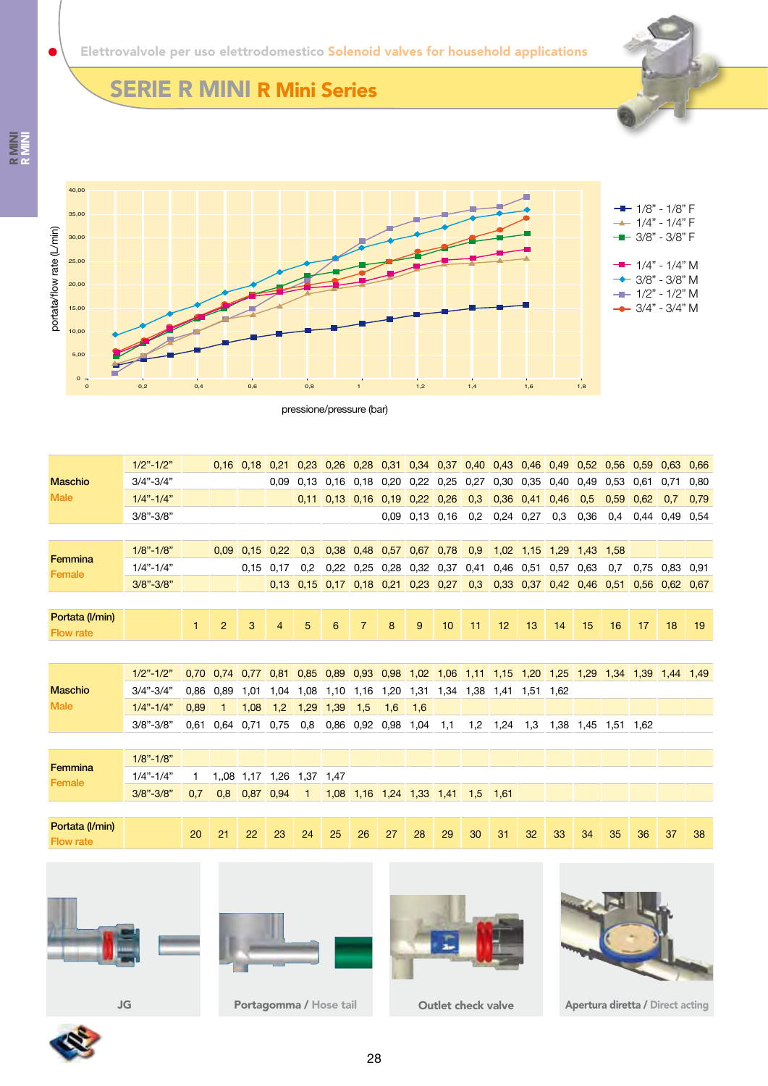

# SERIE R MINI R Mini Series



 $\bullet$ 



pressione/pressure (bar)

|                                     | $1/2" - 1/2"$ |      |                | $0,16$ 0.18 | 0.21                 | 0.23 | 0.26        | 0.28           | 0.31                     | 0.34 0.37     |      | $0,40$ 0.43 |      | 0.46 0.49 |             | 0.52      | 0.56      | 0.59 | 0.63        | 0.66 |
|-------------------------------------|---------------|------|----------------|-------------|----------------------|------|-------------|----------------|--------------------------|---------------|------|-------------|------|-----------|-------------|-----------|-----------|------|-------------|------|
| <b>Maschio</b>                      | $3/4$ "-3/4"  |      |                |             | 0.09                 | 0,13 | 0.16        | 0.18           | 0,20                     | 0,22          | 0,25 | 0,27        | 0,30 | 0,35      | 0.40        | 0,49      | 0.53      | 0.61 | 0.71        | 0,80 |
| <b>Male</b>                         | $1/4" - 1/4"$ |      |                |             |                      | 0,11 | 0.13        | 0,16           | 0,19                     | 0,22          | 0,26 | 0,3         | 0,36 | 0,41      | 0.46        | 0,5       | 0,59      | 0.62 | 0.7         | 0,79 |
|                                     | $3/8$ "-3/8"  |      |                |             |                      |      |             |                | 0.09                     | $0,13$ $0,16$ |      | 0,2         | 0,24 | 0,27      | 0,3         | 0,36      | 0.4       | 0,44 | 0.49        | 0,54 |
|                                     |               |      |                |             |                      |      |             |                |                          |               |      |             |      |           |             |           |           |      |             |      |
| Femmina                             | $1/8" - 1/8"$ |      | 0.09           | 0,15        | 0.22                 | 0.3  | 0.38        | 0.48           | 0,57                     | 0.67 0.78     |      | 0,9         | 1.02 | 1.15      | $1.29$ 1.43 |           | 1.58      |      |             |      |
| Female                              | $1/4" - 1/4"$ |      |                | 0,15        | 0.17                 | 0.2  | 0.22        | 0.25           | 0.28                     | 0.32          | 0,37 | 0,41        | 0,46 | 0,51      | 0.57        | 0.63      | 0.7       | 0.75 | 0.83        | 0.91 |
|                                     | $3/8" - 3/8"$ |      |                |             | 0,13                 | 0.15 | 0.17        | 0.18           | 0.21                     | 0.23          | 0.27 | 0.3         | 0.33 | 0.37      | 0.42        | 0.46      | 0.51      | 0.56 | $0,62$ 0.67 |      |
|                                     |               |      |                |             |                      |      |             |                |                          |               |      |             |      |           |             |           |           |      |             |      |
| Portata (I/min)                     |               | 1    | $\overline{2}$ | 3           | 4                    | 5    | 6           | $\overline{7}$ | 8                        | 9             | 10   | 11          | 12   | 13        | 14          | 15        | 16        | 17   | 18          | 19   |
| <b>Flow rate</b>                    |               |      |                |             |                      |      |             |                |                          |               |      |             |      |           |             |           |           |      |             |      |
|                                     |               |      |                |             |                      |      |             |                |                          |               |      |             |      |           |             |           |           |      |             |      |
|                                     | $1/2" - 1/2"$ | 0,70 | 0.74 0.77      |             | 0,81                 |      | $0.85$ 0.89 | 0,93           | 0,98                     | 1,02          | 1,06 | 1.11        | 1,15 | 1,20      | 1,25        | 1,29      | 1.34 1.39 |      | 1.44        | 1,49 |
| <b>Maschio</b>                      | $3/4$ "-3/4"  | 0,86 | 0.89           | 1.01        | 1.04                 | 1.08 | 1,10        | 1,16           | 1,20                     | 1,31          | 1,34 | 1,38        | 1.41 | 1,51      | 1.62        |           |           |      |             |      |
| <b>Male</b>                         | $1/4" - 1/4"$ | 0.89 | 1              | 1.08        | 1,2                  | 1,29 | 1,39        | 1,5            | 1.6                      | 1,6           |      |             |      |           |             |           |           |      |             |      |
|                                     | $3/8$ "-3/8"  | 0.61 | 0.64           | 0.71        | 0.75                 | 0,8  | 0,86        | 0,92           | 0,98                     | 1,04          | 1,1  | 1,2         | 1,24 | 1,3       |             | 1,38 1,45 | 1,51 1,62 |      |             |      |
|                                     |               |      |                |             |                      |      |             |                |                          |               |      |             |      |           |             |           |           |      |             |      |
| Femmina                             | $1/8" - 1/8"$ |      |                |             |                      |      |             |                |                          |               |      |             |      |           |             |           |           |      |             |      |
| Female                              | $1/4" - 1/4"$ | 1    |                |             | 1,,08 1,17 1,26 1,37 |      | 1,47        |                |                          |               |      |             |      |           |             |           |           |      |             |      |
|                                     | $3/8$ "-3/8"  | 0,7  | 0.8            | 0.87        | 0.94                 | 1    |             |                | 1,08 1,16 1,24 1,33 1,41 |               |      | 1,5         | 1,61 |           |             |           |           |      |             |      |
|                                     |               |      |                |             |                      |      |             |                |                          |               |      |             |      |           |             |           |           |      |             |      |
| Portata (I/min)<br><b>Flow rate</b> |               | 20   | 21             | 22          | 23                   | 24   | 25          | 26             | 27                       | 28            | 29   | 30          | 31   | 32        | 33          | 34        | 35        | 36   | 37          | 38   |
|                                     |               |      |                |             |                      |      |             |                |                          |               |      |             |      |           |             |           |           |      |             |      |







JG **Portagomma / Hose tail Cutlet check valve Apertura diretta / Direct acting**